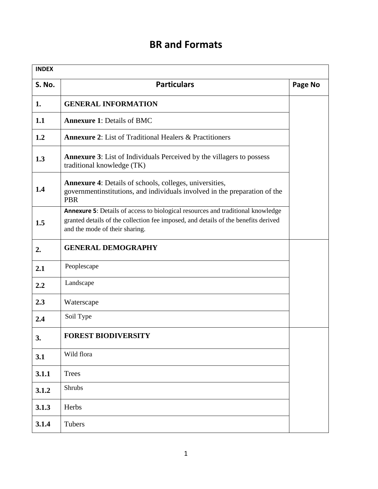## **BR and Formats**

| <b>INDEX</b>  |                                                                                                                                                                                                         |         |
|---------------|---------------------------------------------------------------------------------------------------------------------------------------------------------------------------------------------------------|---------|
| <b>S. No.</b> | <b>Particulars</b>                                                                                                                                                                                      | Page No |
| 1.            | <b>GENERAL INFORMATION</b>                                                                                                                                                                              |         |
| 1.1           | <b>Annexure 1: Details of BMC</b>                                                                                                                                                                       |         |
| 1.2           | <b>Annexure 2:</b> List of Traditional Healers & Practitioners                                                                                                                                          |         |
| 1.3           | <b>Annexure 3:</b> List of Individuals Perceived by the villagers to possess<br>traditional knowledge (TK)                                                                                              |         |
| 1.4           | <b>Annexure 4:</b> Details of schools, colleges, universities,<br>governmentinstitutions, and individuals involved in the preparation of the<br><b>PBR</b>                                              |         |
| 1.5           | Annexure 5: Details of access to biological resources and traditional knowledge<br>granted details of the collection fee imposed, and details of the benefits derived<br>and the mode of their sharing. |         |
| 2.            | <b>GENERAL DEMOGRAPHY</b>                                                                                                                                                                               |         |
| 2.1           | Peoplescape                                                                                                                                                                                             |         |
| 2.2           | Landscape                                                                                                                                                                                               |         |
| 2.3           | Waterscape                                                                                                                                                                                              |         |
| 2.4           | Soil Type                                                                                                                                                                                               |         |
| 3.            | <b>FOREST BIODIVERSITY</b>                                                                                                                                                                              |         |
| 3.1           | Wild flora                                                                                                                                                                                              |         |
| 3.1.1         | <b>Trees</b>                                                                                                                                                                                            |         |
| 3.1.2         | Shrubs                                                                                                                                                                                                  |         |
| 3.1.3         | Herbs                                                                                                                                                                                                   |         |
| 3.1.4         | Tubers                                                                                                                                                                                                  |         |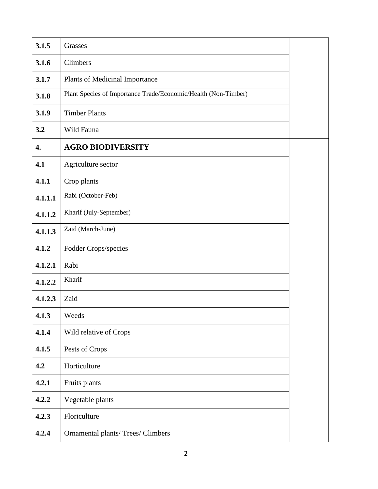| 3.1.5   | Grasses                                                        |  |
|---------|----------------------------------------------------------------|--|
| 3.1.6   | Climbers                                                       |  |
| 3.1.7   | Plants of Medicinal Importance                                 |  |
| 3.1.8   | Plant Species of Importance Trade/Economic/Health (Non-Timber) |  |
| 3.1.9   | <b>Timber Plants</b>                                           |  |
| 3.2     | Wild Fauna                                                     |  |
| 4.      | <b>AGRO BIODIVERSITY</b>                                       |  |
| 4.1     | Agriculture sector                                             |  |
| 4.1.1   | Crop plants                                                    |  |
| 4.1.1.1 | Rabi (October-Feb)                                             |  |
| 4.1.1.2 | Kharif (July-September)                                        |  |
| 4.1.1.3 | Zaid (March-June)                                              |  |
| 4.1.2   | Fodder Crops/species                                           |  |
| 4.1.2.1 | Rabi                                                           |  |
| 4.1.2.2 | Kharif                                                         |  |
| 4.1.2.3 | Zaid                                                           |  |
| 4.1.3   | Weeds                                                          |  |
| 4.1.4   | Wild relative of Crops                                         |  |
| 4.1.5   | Pests of Crops                                                 |  |
| 4.2     | Horticulture                                                   |  |
| 4.2.1   | Fruits plants                                                  |  |
| 4.2.2   | Vegetable plants                                               |  |
| 4.2.3   | Floriculture                                                   |  |
| 4.2.4   | Ornamental plants/ Trees/ Climbers                             |  |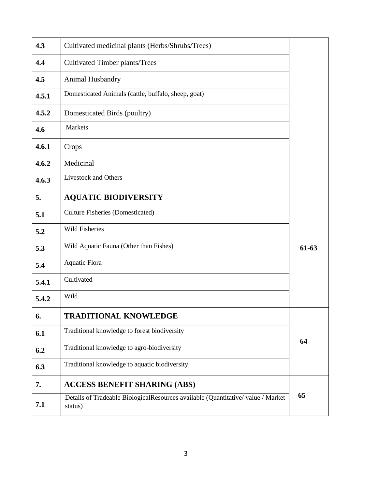| 4.3   | Cultivated medicinal plants (Herbs/Shrubs/Trees)                                           |         |
|-------|--------------------------------------------------------------------------------------------|---------|
| 4.4   | <b>Cultivated Timber plants/Trees</b>                                                      |         |
| 4.5   | Animal Husbandry                                                                           |         |
| 4.5.1 | Domesticated Animals (cattle, buffalo, sheep, goat)                                        |         |
| 4.5.2 | Domesticated Birds (poultry)                                                               |         |
| 4.6   | Markets                                                                                    |         |
| 4.6.1 | Crops                                                                                      |         |
| 4.6.2 | Medicinal                                                                                  |         |
| 4.6.3 | <b>Livestock and Others</b>                                                                |         |
| 5.    | <b>AQUATIC BIODIVERSITY</b>                                                                |         |
| 5.1   | <b>Culture Fisheries (Domesticated)</b>                                                    |         |
| 5.2   | Wild Fisheries                                                                             |         |
| 5.3   | Wild Aquatic Fauna (Other than Fishes)                                                     | $61-63$ |
| 5.4   | <b>Aquatic Flora</b>                                                                       |         |
| 5.4.1 | Cultivated                                                                                 |         |
| 5.4.2 | Wild                                                                                       |         |
| 6.    | <b>TRADITIONAL KNOWLEDGE</b>                                                               |         |
| 6.1   | Traditional knowledge to forest biodiversity                                               |         |
| 6.2   | Traditional knowledge to agro-biodiversity                                                 | 64      |
| 6.3   | Traditional knowledge to aquatic biodiversity                                              |         |
| 7.    | <b>ACCESS BENEFIT SHARING (ABS)</b>                                                        |         |
| 7.1   | Details of Tradeable BiologicalResources available (Quantitative/value / Market<br>status) | 65      |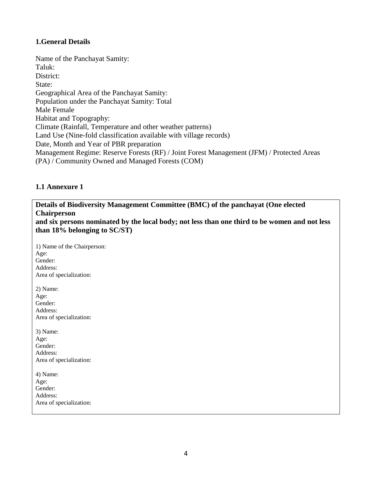#### **1.General Details**

Name of the Panchayat Samity: Taluk: District: State: Geographical Area of the Panchayat Samity: Population under the Panchayat Samity: Total Male Female Habitat and Topography: Climate (Rainfall, Temperature and other weather patterns) Land Use (Nine-fold classification available with village records) Date, Month and Year of PBR preparation Management Regime: Reserve Forests (RF) / Joint Forest Management (JFM) / Protected Areas (PA) / Community Owned and Managed Forests (COM)

#### **1.1 Annexure 1**

**Details of Biodiversity Management Committee (BMC) of the panchayat (One elected Chairperson**

**and six persons nominated by the local body; not less than one third to be women and not less than 18% belonging to SC/ST)**

1) Name of the Chairperson: Age: Gender: Address: Area of specialization: 2) Name: Age: Gender: Address: Area of specialization: 3) Name: Age: Gender: Address: Area of specialization: 4) Name: Age: Gender: Address:

Area of specialization: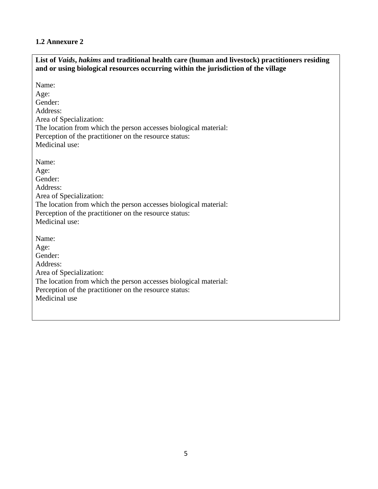#### **1.2 Annexure 2**

| List of Vaids, hakims and traditional health care (human and livestock) practitioners residing<br>and or using biological resources occurring within the jurisdiction of the village                            |
|-----------------------------------------------------------------------------------------------------------------------------------------------------------------------------------------------------------------|
| Name:<br>Age:<br>Gender:<br>Address:<br>Area of Specialization:<br>The location from which the person accesses biological material:<br>Perception of the practitioner on the resource status:<br>Medicinal use: |
| Name:<br>Age:<br>Gender:<br>Address:<br>Area of Specialization:<br>The location from which the person accesses biological material:<br>Perception of the practitioner on the resource status:<br>Medicinal use: |
| Name:<br>Age:<br>Gender:<br>Address:<br>Area of Specialization:<br>The location from which the person accesses biological material:<br>Perception of the practitioner on the resource status:<br>Medicinal use  |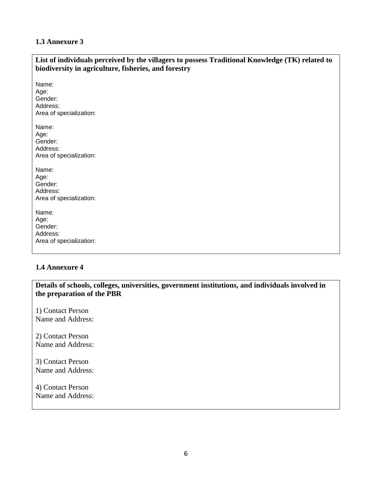#### **1.3 Annexure 3**

| List of individuals perceived by the villagers to possess Traditional Knowledge (TK) related to<br>biodiversity in agriculture, fisheries, and forestry |
|---------------------------------------------------------------------------------------------------------------------------------------------------------|
| Name:<br>Age:<br>Gender:<br>Address:<br>Area of specialization:                                                                                         |
| Name:<br>Age:<br>Gender:<br>Address:<br>Area of specialization:                                                                                         |
| Name:<br>Age:<br>Gender:<br>Address:<br>Area of specialization:                                                                                         |
| Name:<br>Age:<br>Gender:<br>Address:<br>Area of specialization:                                                                                         |

#### **1.4 Annexure 4**

**Details of schools, colleges, universities, government institutions, and individuals involved in the preparation of the PBR**

1) Contact Person Name and Address:

2) Contact Person Name and Address:

3) Contact Person Name and Address:

4) Contact Person Name and Address: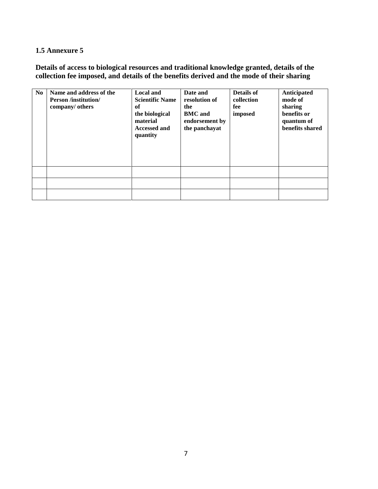#### **1.5 Annexure 5**

**Details of access to biological resources and traditional knowledge granted, details of the collection fee imposed, and details of the benefits derived and the mode of their sharing**

| N <sub>0</sub> | Name and address of the<br><b>Person /institution/</b><br>company/ others | Local and<br><b>Scientific Name</b><br>of<br>the biological<br>material<br><b>Accessed and</b><br>quantity | Date and<br>resolution of<br>the<br><b>BMC</b> and<br>endorsement by<br>the panchayat | Details of<br>collection<br>fee<br>imposed | Anticipated<br>mode of<br>sharing<br>benefits or<br>quantum of<br>benefits shared |
|----------------|---------------------------------------------------------------------------|------------------------------------------------------------------------------------------------------------|---------------------------------------------------------------------------------------|--------------------------------------------|-----------------------------------------------------------------------------------|
|                |                                                                           |                                                                                                            |                                                                                       |                                            |                                                                                   |
|                |                                                                           |                                                                                                            |                                                                                       |                                            |                                                                                   |
|                |                                                                           |                                                                                                            |                                                                                       |                                            |                                                                                   |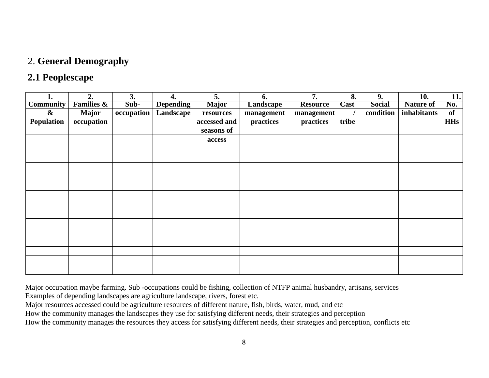#### 2. **General Demography**

#### **2.1 Peoplescape**

| ı.                | 2.                    | 3.         | 4.               | 5.           | 6.               | 7.              | 8.          | 9.            | 10.              | 11.        |
|-------------------|-----------------------|------------|------------------|--------------|------------------|-----------------|-------------|---------------|------------------|------------|
| <b>Community</b>  | <b>Families &amp;</b> | Sub-       | <b>Depending</b> | <b>Major</b> | <b>Landscape</b> | <b>Resource</b> | <b>Cast</b> | <b>Social</b> | <b>Nature of</b> | No.        |
| $\boldsymbol{\&}$ | <b>Major</b>          | occupation | Landscape        | resources    | management       | management      |             | condition     | inhabitants      | of         |
| Population        | occupation            |            |                  | accessed and | practices        | practices       | tribe       |               |                  | <b>HHs</b> |
|                   |                       |            |                  | seasons of   |                  |                 |             |               |                  |            |
|                   |                       |            |                  | access       |                  |                 |             |               |                  |            |
|                   |                       |            |                  |              |                  |                 |             |               |                  |            |
|                   |                       |            |                  |              |                  |                 |             |               |                  |            |
|                   |                       |            |                  |              |                  |                 |             |               |                  |            |
|                   |                       |            |                  |              |                  |                 |             |               |                  |            |
|                   |                       |            |                  |              |                  |                 |             |               |                  |            |
|                   |                       |            |                  |              |                  |                 |             |               |                  |            |
|                   |                       |            |                  |              |                  |                 |             |               |                  |            |
|                   |                       |            |                  |              |                  |                 |             |               |                  |            |
|                   |                       |            |                  |              |                  |                 |             |               |                  |            |
|                   |                       |            |                  |              |                  |                 |             |               |                  |            |
|                   |                       |            |                  |              |                  |                 |             |               |                  |            |
|                   |                       |            |                  |              |                  |                 |             |               |                  |            |
|                   |                       |            |                  |              |                  |                 |             |               |                  |            |
|                   |                       |            |                  |              |                  |                 |             |               |                  |            |

Major occupation maybe farming. Sub -occupations could be fishing, collection of NTFP animal husbandry, artisans, services

Examples of depending landscapes are agriculture landscape, rivers, forest etc.

Major resources accessed could be agriculture resources of different nature, fish, birds, water, mud, and etc

How the community manages the landscapes they use for satisfying different needs, their strategies and perception

How the community manages the resources they access for satisfying different needs, their strategies and perception, conflicts etc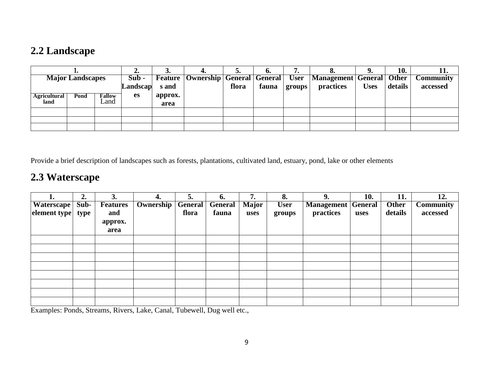# **2.2 Landscape**

|                             |      |                       | ∠.                  |                 |                                                  |       | v.    | . .    | v.                                               |             | 10.     | 11.                          |
|-----------------------------|------|-----------------------|---------------------|-----------------|--------------------------------------------------|-------|-------|--------|--------------------------------------------------|-------------|---------|------------------------------|
| <b>Major Landscapes</b>     |      |                       | $Sub -$<br>Landscap | s and           | <b>Feature   Ownership   General   General  </b> | flora | fauna | groups | User   Management   General   Other<br>practices | <b>Uses</b> | details | <b>Community</b><br>accessed |
| <b>Agricultural</b><br>land | Pond | <b>Fallow</b><br>∟and | es                  | approx.<br>area |                                                  |       |       |        |                                                  |             |         |                              |
|                             |      |                       |                     |                 |                                                  |       |       |        |                                                  |             |         |                              |
|                             |      |                       |                     |                 |                                                  |       |       |        |                                                  |             |         |                              |
|                             |      |                       |                     |                 |                                                  |       |       |        |                                                  |             |         |                              |

Provide a brief description of landscapes such as forests, plantations, cultivated land, estuary, pond, lake or other elements

# **2.3 Waterscape**

|                   | 2.   | 3.              | 4.               | 5.             | 6.             | 7<br>.,      | 8.          | 9.                        | 10.  | 11.          | 12.              |
|-------------------|------|-----------------|------------------|----------------|----------------|--------------|-------------|---------------------------|------|--------------|------------------|
| <b>Waterscape</b> | Sub- | <b>Features</b> | <b>Ownership</b> | <b>General</b> | <b>General</b> | <b>Major</b> | <b>User</b> | <b>Management General</b> |      | <b>Other</b> | <b>Community</b> |
| element type      | type | and             |                  | flora          | fauna          | uses         | groups      | practices                 | uses | details      | accessed         |
|                   |      | approx.         |                  |                |                |              |             |                           |      |              |                  |
|                   |      | area            |                  |                |                |              |             |                           |      |              |                  |
|                   |      |                 |                  |                |                |              |             |                           |      |              |                  |
|                   |      |                 |                  |                |                |              |             |                           |      |              |                  |
|                   |      |                 |                  |                |                |              |             |                           |      |              |                  |
|                   |      |                 |                  |                |                |              |             |                           |      |              |                  |
|                   |      |                 |                  |                |                |              |             |                           |      |              |                  |
|                   |      |                 |                  |                |                |              |             |                           |      |              |                  |
|                   |      |                 |                  |                |                |              |             |                           |      |              |                  |
|                   |      |                 |                  |                |                |              |             |                           |      |              |                  |

Examples: Ponds, Streams, Rivers, Lake, Canal, Tubewell, Dug well etc.,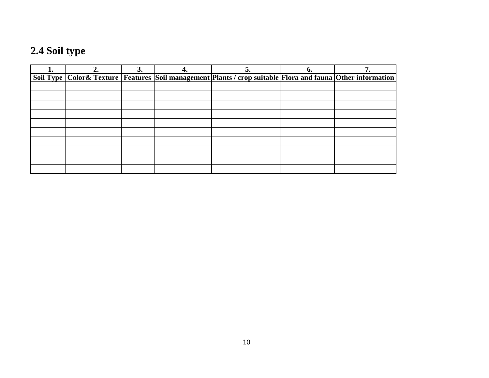# **2.4 Soil type**

| ı. | 3. | 5.                                                                                                                      | n. |  |
|----|----|-------------------------------------------------------------------------------------------------------------------------|----|--|
|    |    | Soil Type   Color & Texture   Features   Soil management   Plants / crop suitable   Flora and fauna   Other information |    |  |
|    |    |                                                                                                                         |    |  |
|    |    |                                                                                                                         |    |  |
|    |    |                                                                                                                         |    |  |
|    |    |                                                                                                                         |    |  |
|    |    |                                                                                                                         |    |  |
|    |    |                                                                                                                         |    |  |
|    |    |                                                                                                                         |    |  |
|    |    |                                                                                                                         |    |  |
|    |    |                                                                                                                         |    |  |
|    |    |                                                                                                                         |    |  |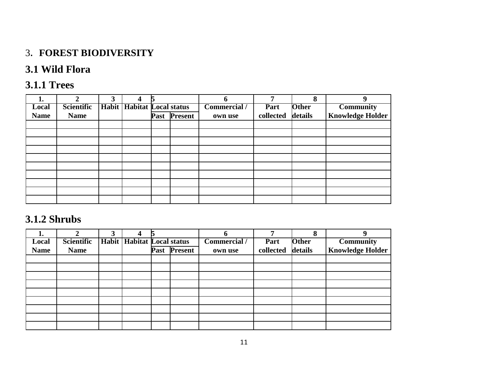# 3. **FOREST BIODIVERSITY**

# **3.1 Wild Flora**

# **3.1.1 Trees**

| 1.          | ኅ                 | 3            |                             | 5    |                | h                   | −         | 8            | 9                       |
|-------------|-------------------|--------------|-----------------------------|------|----------------|---------------------|-----------|--------------|-------------------------|
| Local       | <b>Scientific</b> | <b>Habit</b> | <b>Habitat Local status</b> |      |                | <b>Commercial</b> / | Part      | <b>Other</b> | <b>Community</b>        |
| <b>Name</b> | <b>Name</b>       |              |                             | Past | <b>Present</b> | own use             | collected | details      | <b>Knowledge Holder</b> |
|             |                   |              |                             |      |                |                     |           |              |                         |
|             |                   |              |                             |      |                |                     |           |              |                         |
|             |                   |              |                             |      |                |                     |           |              |                         |
|             |                   |              |                             |      |                |                     |           |              |                         |
|             |                   |              |                             |      |                |                     |           |              |                         |
|             |                   |              |                             |      |                |                     |           |              |                         |
|             |                   |              |                             |      |                |                     |           |              |                         |
|             |                   |              |                             |      |                |                     |           |              |                         |
|             |                   |              |                             |      |                |                     |           |              |                         |
|             |                   |              |                             |      |                |                     |           |              |                         |

## **3.1.2 Shrubs**

| ı.          |                   | 3 |                                     |      |                |                     |           | O            |                         |
|-------------|-------------------|---|-------------------------------------|------|----------------|---------------------|-----------|--------------|-------------------------|
| Local       | <b>Scientific</b> |   | <b>Habit   Habitat Local status</b> |      |                | <b>Commercial</b> / | Part      | <b>Other</b> | <b>Community</b>        |
| <b>Name</b> | <b>Name</b>       |   |                                     | Past | <b>Present</b> | own use             | collected | details      | <b>Knowledge Holder</b> |
|             |                   |   |                                     |      |                |                     |           |              |                         |
|             |                   |   |                                     |      |                |                     |           |              |                         |
|             |                   |   |                                     |      |                |                     |           |              |                         |
|             |                   |   |                                     |      |                |                     |           |              |                         |
|             |                   |   |                                     |      |                |                     |           |              |                         |
|             |                   |   |                                     |      |                |                     |           |              |                         |
|             |                   |   |                                     |      |                |                     |           |              |                         |
|             |                   |   |                                     |      |                |                     |           |              |                         |
|             |                   |   |                                     |      |                |                     |           |              |                         |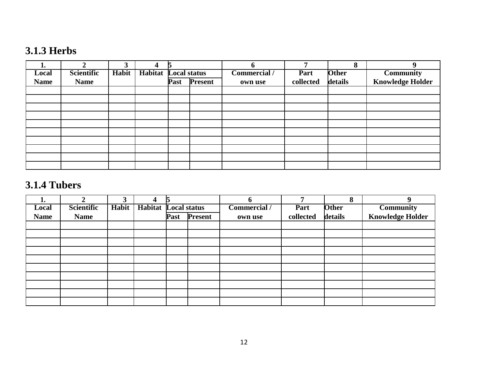# **3.1.3 Herbs**

| ı.          | ◠                 | 3            | 4              |                     |                | n                   |           | 8            | q                       |
|-------------|-------------------|--------------|----------------|---------------------|----------------|---------------------|-----------|--------------|-------------------------|
| Local       | <b>Scientific</b> | <b>Habit</b> | <b>Habitat</b> | <b>Local status</b> |                | <b>Commercial</b> / | Part      | <b>Other</b> | <b>Community</b>        |
| <b>Name</b> | <b>Name</b>       |              |                | Past                | <b>Present</b> | own use             | collected | details      | <b>Knowledge Holder</b> |
|             |                   |              |                |                     |                |                     |           |              |                         |
|             |                   |              |                |                     |                |                     |           |              |                         |
|             |                   |              |                |                     |                |                     |           |              |                         |
|             |                   |              |                |                     |                |                     |           |              |                         |
|             |                   |              |                |                     |                |                     |           |              |                         |
|             |                   |              |                |                     |                |                     |           |              |                         |
|             |                   |              |                |                     |                |                     |           |              |                         |
|             |                   |              |                |                     |                |                     |           |              |                         |
|             |                   |              |                |                     |                |                     |           |              |                         |
|             |                   |              |                |                     |                |                     |           |              |                         |

# **3.1.4 Tubers**

| ı.          | ↑           | 3     | 4                           |      |                | D                   |           | 8            | q                       |
|-------------|-------------|-------|-----------------------------|------|----------------|---------------------|-----------|--------------|-------------------------|
| Local       | Scientific  | Habit | <b>Habitat Local status</b> |      |                | <b>Commercial</b> / | Part      | <b>Other</b> | <b>Community</b>        |
| <b>Name</b> | <b>Name</b> |       |                             | Past | <b>Present</b> | own use             | collected | details      | <b>Knowledge Holder</b> |
|             |             |       |                             |      |                |                     |           |              |                         |
|             |             |       |                             |      |                |                     |           |              |                         |
|             |             |       |                             |      |                |                     |           |              |                         |
|             |             |       |                             |      |                |                     |           |              |                         |
|             |             |       |                             |      |                |                     |           |              |                         |
|             |             |       |                             |      |                |                     |           |              |                         |
|             |             |       |                             |      |                |                     |           |              |                         |
|             |             |       |                             |      |                |                     |           |              |                         |
|             |             |       |                             |      |                |                     |           |              |                         |
|             |             |       |                             |      |                |                     |           |              |                         |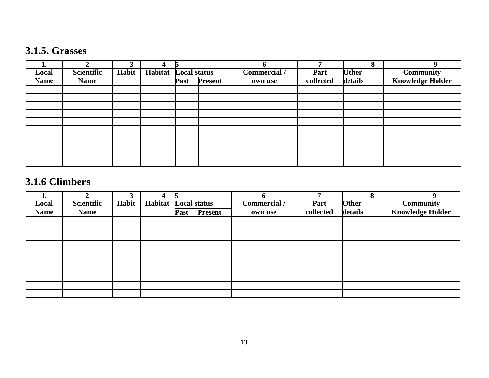# **3.1.5. Grasses**

| ı.          | ◠           | 3     |                | 15                  |                |              | ┍         | O            | 9                       |
|-------------|-------------|-------|----------------|---------------------|----------------|--------------|-----------|--------------|-------------------------|
| Local       | Scientific  | Habit | <b>Habitat</b> | <b>Local status</b> |                | Commercial / | Part      | <b>Other</b> | <b>Community</b>        |
| <b>Name</b> | <b>Name</b> |       |                | Past                | <b>Present</b> | own use      | collected | details      | <b>Knowledge Holder</b> |
|             |             |       |                |                     |                |              |           |              |                         |
|             |             |       |                |                     |                |              |           |              |                         |
|             |             |       |                |                     |                |              |           |              |                         |
|             |             |       |                |                     |                |              |           |              |                         |
|             |             |       |                |                     |                |              |           |              |                         |
|             |             |       |                |                     |                |              |           |              |                         |
|             |             |       |                |                     |                |              |           |              |                         |
|             |             |       |                |                     |                |              |           |              |                         |
|             |             |       |                |                     |                |              |           |              |                         |
|             |             |       |                |                     |                |              |           |              |                         |

# **3.1.6 Climbers**

| ı.          | ↑                 | 3     | 4              | r                   |         |              |           | 8            | 9                       |
|-------------|-------------------|-------|----------------|---------------------|---------|--------------|-----------|--------------|-------------------------|
| Local       | <b>Scientific</b> | Habit | <b>Habitat</b> | <b>Local status</b> |         | Commercial / | Part      | <b>Other</b> | <b>Community</b>        |
| <b>Name</b> | <b>Name</b>       |       |                | Past                | Present | own use      | collected | details      | <b>Knowledge Holder</b> |
|             |                   |       |                |                     |         |              |           |              |                         |
|             |                   |       |                |                     |         |              |           |              |                         |
|             |                   |       |                |                     |         |              |           |              |                         |
|             |                   |       |                |                     |         |              |           |              |                         |
|             |                   |       |                |                     |         |              |           |              |                         |
|             |                   |       |                |                     |         |              |           |              |                         |
|             |                   |       |                |                     |         |              |           |              |                         |
|             |                   |       |                |                     |         |              |           |              |                         |
|             |                   |       |                |                     |         |              |           |              |                         |
|             |                   |       |                |                     |         |              |           |              |                         |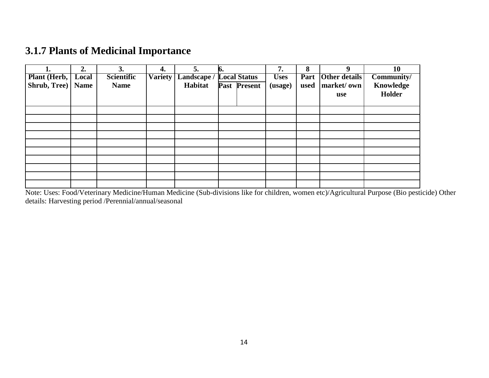# **3.1.7 Plants of Medicinal Importance**

|              | 2.          | 3.                | 4.             | 5.          | К.                  |              | 7.          | 8    |                      | 10         |
|--------------|-------------|-------------------|----------------|-------------|---------------------|--------------|-------------|------|----------------------|------------|
| Plant (Herb, | Local       | <b>Scientific</b> | <b>Variety</b> | Landscape / | <b>Local Status</b> |              | <b>Uses</b> | Part | <b>Other details</b> | Community/ |
| Shrub, Tree) | <b>Name</b> | <b>Name</b>       |                | Habitat     |                     | Past Present | (usage)     | used | market/own           | Knowledge  |
|              |             |                   |                |             |                     |              |             |      | use                  | Holder     |
|              |             |                   |                |             |                     |              |             |      |                      |            |
|              |             |                   |                |             |                     |              |             |      |                      |            |
|              |             |                   |                |             |                     |              |             |      |                      |            |
|              |             |                   |                |             |                     |              |             |      |                      |            |
|              |             |                   |                |             |                     |              |             |      |                      |            |
|              |             |                   |                |             |                     |              |             |      |                      |            |
|              |             |                   |                |             |                     |              |             |      |                      |            |
|              |             |                   |                |             |                     |              |             |      |                      |            |
|              |             |                   |                |             |                     |              |             |      |                      |            |
|              |             |                   |                |             |                     |              |             |      |                      |            |
|              |             |                   |                |             |                     |              |             |      |                      |            |

Note: Uses: Food/Veterinary Medicine/Human Medicine (Sub-divisions like for children, women etc)/Agricultural Purpose (Bio pesticide) Other details: Harvesting period /Perennial/annual/seasonal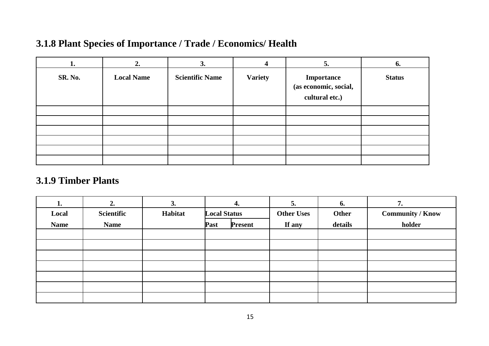# **3.1.8 Plant Species of Importance / Trade / Economics/ Health**

| ı.             | 7                 | 3.                     |                | 5.                                                    | 6.            |
|----------------|-------------------|------------------------|----------------|-------------------------------------------------------|---------------|
| <b>SR. No.</b> | <b>Local Name</b> | <b>Scientific Name</b> | <b>Variety</b> | Importance<br>(as economic, social,<br>cultural etc.) | <b>Status</b> |
|                |                   |                        |                |                                                       |               |
|                |                   |                        |                |                                                       |               |
|                |                   |                        |                |                                                       |               |
|                |                   |                        |                |                                                       |               |
|                |                   |                        |                |                                                       |               |
|                |                   |                        |                |                                                       |               |

### **3.1.9 Timber Plants**

| 1.          | 2.          | 3.      | 4.                     | 5.                | 6.      | 7.                      |
|-------------|-------------|---------|------------------------|-------------------|---------|-------------------------|
| Local       | Scientific  | Habitat | <b>Local Status</b>    | <b>Other Uses</b> | Other   | <b>Community / Know</b> |
| <b>Name</b> | <b>Name</b> |         | <b>Present</b><br>Past | If any            | details | holder                  |
|             |             |         |                        |                   |         |                         |
|             |             |         |                        |                   |         |                         |
|             |             |         |                        |                   |         |                         |
|             |             |         |                        |                   |         |                         |
|             |             |         |                        |                   |         |                         |
|             |             |         |                        |                   |         |                         |
|             |             |         |                        |                   |         |                         |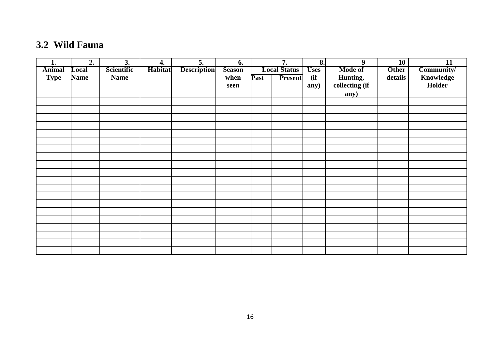# **3.2 Wild Fauna**

| 1.            | 2.          | 3.          | 4.      | 5.                 | 6.            |      | 7.                  | 8.          | 9              | 10           | 11         |
|---------------|-------------|-------------|---------|--------------------|---------------|------|---------------------|-------------|----------------|--------------|------------|
| <b>Animal</b> | Local       | Scientific  | Habitat | <b>Description</b> | <b>Season</b> |      | <b>Local Status</b> | <b>Uses</b> | <b>Mode of</b> | <b>Other</b> | Community/ |
| <b>Type</b>   | <b>Name</b> | <b>Name</b> |         |                    | when          | Past | <b>Present</b>      | (if)        | Hunting,       | details      | Knowledge  |
|               |             |             |         |                    | seen          |      |                     | any)        | collecting (if |              | Holder     |
|               |             |             |         |                    |               |      |                     |             | any)           |              |            |
|               |             |             |         |                    |               |      |                     |             |                |              |            |
|               |             |             |         |                    |               |      |                     |             |                |              |            |
|               |             |             |         |                    |               |      |                     |             |                |              |            |
|               |             |             |         |                    |               |      |                     |             |                |              |            |
|               |             |             |         |                    |               |      |                     |             |                |              |            |
|               |             |             |         |                    |               |      |                     |             |                |              |            |
|               |             |             |         |                    |               |      |                     |             |                |              |            |
|               |             |             |         |                    |               |      |                     |             |                |              |            |
|               |             |             |         |                    |               |      |                     |             |                |              |            |
|               |             |             |         |                    |               |      |                     |             |                |              |            |
|               |             |             |         |                    |               |      |                     |             |                |              |            |
|               |             |             |         |                    |               |      |                     |             |                |              |            |
|               |             |             |         |                    |               |      |                     |             |                |              |            |
|               |             |             |         |                    |               |      |                     |             |                |              |            |
|               |             |             |         |                    |               |      |                     |             |                |              |            |
|               |             |             |         |                    |               |      |                     |             |                |              |            |
|               |             |             |         |                    |               |      |                     |             |                |              |            |
|               |             |             |         |                    |               |      |                     |             |                |              |            |
|               |             |             |         |                    |               |      |                     |             |                |              |            |
|               |             |             |         |                    |               |      |                     |             |                |              |            |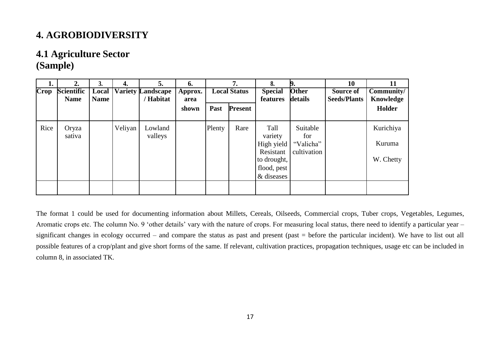# **4. AGROBIODIVERSITY**

#### **4.1 Agriculture Sector (Sample)**

| <b>Crop</b> | 2.<br><b>Scientific</b><br><b>Name</b> | 3.<br>Local<br><b>Name</b> | 4.      | 5.<br><b>Variety Landscape</b><br>/ Habitat | 6.<br>Approx.<br>area |        | 7.<br><b>Local Status</b> | 8.<br><b>Special</b><br>features                                                       | <b>Other</b><br>details                     | <b>10</b><br>Source of<br><b>Seeds/Plants</b> | Community/<br>Knowledge          |
|-------------|----------------------------------------|----------------------------|---------|---------------------------------------------|-----------------------|--------|---------------------------|----------------------------------------------------------------------------------------|---------------------------------------------|-----------------------------------------------|----------------------------------|
|             |                                        |                            |         |                                             | shown                 | Past   | <b>Present</b>            |                                                                                        |                                             |                                               | Holder                           |
| Rice        | Oryza<br>sativa                        |                            | Veliyan | Lowland<br>valleys                          |                       | Plenty | Rare                      | Tall<br>variety<br>High yield<br>Resistant<br>to drought,<br>flood, pest<br>& diseases | Suitable<br>for<br>"Valicha"<br>cultivation |                                               | Kurichiya<br>Kuruma<br>W. Chetty |
|             |                                        |                            |         |                                             |                       |        |                           |                                                                                        |                                             |                                               |                                  |

The format 1 could be used for documenting information about Millets, Cereals, Oilseeds, Commercial crops, Tuber crops, Vegetables, Legumes, Aromatic crops etc. The column No. 9 'other details' vary with the nature of crops. For measuring local status, there need to identify a particular year – significant changes in ecology occurred – and compare the status as past and present (past = before the particular incident). We have to list out all possible features of a crop/plant and give short forms of the same. If relevant, cultivation practices, propagation techniques, usage etc can be included in column 8, in associated TK.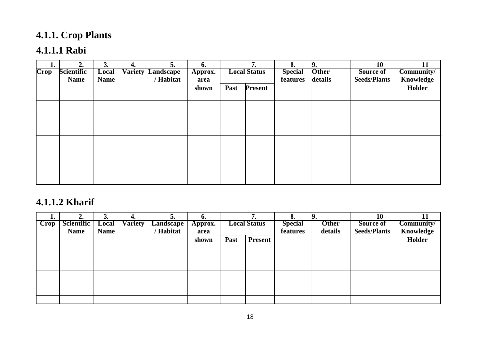# **4.1.1. Crop Plants**

# **4.1.1.1 Rabi**

|             | 2.                               | s.                   | 4. | 5.                                         | 6.              |      | 7.                  | 8.                         | ь.                      | 10                               | 11                      |
|-------------|----------------------------------|----------------------|----|--------------------------------------------|-----------------|------|---------------------|----------------------------|-------------------------|----------------------------------|-------------------------|
| <b>Crop</b> | <b>Scientific</b><br><b>Name</b> | Local<br><b>Name</b> |    | <b>Variety Landscape</b><br><b>Habitat</b> | Approx.<br>area |      | <b>Local Status</b> | <b>Special</b><br>features | <b>Other</b><br>details | Source of<br><b>Seeds/Plants</b> | Community/<br>Knowledge |
|             |                                  |                      |    |                                            | shown           | Past | <b>Present</b>      |                            |                         |                                  | Holder                  |
|             |                                  |                      |    |                                            |                 |      |                     |                            |                         |                                  |                         |
|             |                                  |                      |    |                                            |                 |      |                     |                            |                         |                                  |                         |
|             |                                  |                      |    |                                            |                 |      |                     |                            |                         |                                  |                         |
|             |                                  |                      |    |                                            |                 |      |                     |                            |                         |                                  |                         |
|             |                                  |                      |    |                                            |                 |      |                     |                            |                         |                                  |                         |
|             |                                  |                      |    |                                            |                 |      |                     |                            |                         |                                  |                         |

# **4.1.1.2 Kharif**

| T.                | 2.          | J.          | 4.             | э.               | b.      |      |                     | o.             | ы.           | 10                  | 11         |
|-------------------|-------------|-------------|----------------|------------------|---------|------|---------------------|----------------|--------------|---------------------|------------|
| $\Gamma$ $\Gamma$ | Scientific  | Local       | <b>Variety</b> | <b>Landscape</b> | Approx. |      | <b>Local Status</b> | <b>Special</b> | <b>Other</b> | Source of           | Community/ |
|                   | <b>Name</b> | <b>Name</b> |                | 'Habitat         | area    |      |                     | features       | details      | <b>Seeds/Plants</b> | Knowledge  |
|                   |             |             |                |                  | shown   | Past | <b>Present</b>      |                |              |                     | Holder     |
|                   |             |             |                |                  |         |      |                     |                |              |                     |            |
|                   |             |             |                |                  |         |      |                     |                |              |                     |            |
|                   |             |             |                |                  |         |      |                     |                |              |                     |            |
|                   |             |             |                |                  |         |      |                     |                |              |                     |            |
|                   |             |             |                |                  |         |      |                     |                |              |                     |            |
|                   |             |             |                |                  |         |      |                     |                |              |                     |            |
|                   |             |             |                |                  |         |      |                     |                |              |                     |            |
|                   |             |             |                |                  |         |      |                     |                |              |                     |            |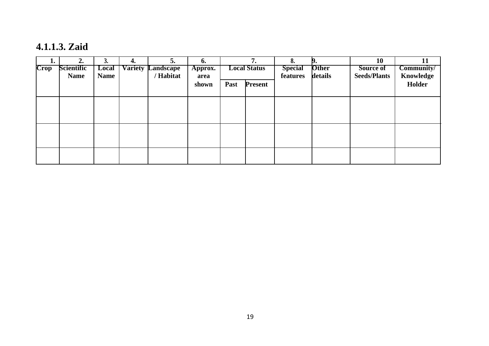**4.1.1.3. Zaid**

| ı.<br>$\overline{\text{Crop}}$ | 2.<br><b>Scientific</b> | J.<br>Local | 4. | 5.<br><b>Variety Landscape</b> | 6.<br>Approx. |      | 7.<br><b>Local Status</b> | 8.<br><b>Special</b> | <b>Other</b> | 10<br><b>Source of</b> | 11<br>Community/    |
|--------------------------------|-------------------------|-------------|----|--------------------------------|---------------|------|---------------------------|----------------------|--------------|------------------------|---------------------|
|                                | <b>Name</b>             | <b>Name</b> |    | Habitat                        | area<br>shown | Past | <b>Present</b>            | features             | details      | <b>Seeds/Plants</b>    | Knowledge<br>Holder |
|                                |                         |             |    |                                |               |      |                           |                      |              |                        |                     |
|                                |                         |             |    |                                |               |      |                           |                      |              |                        |                     |
|                                |                         |             |    |                                |               |      |                           |                      |              |                        |                     |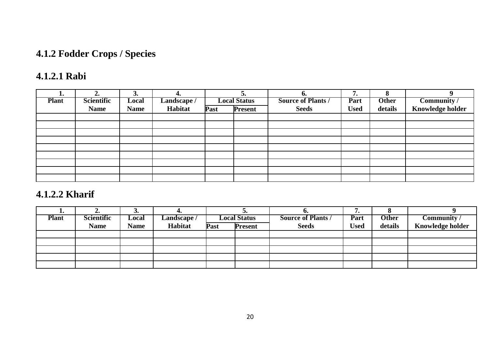# **4.1.2 Fodder Crops / Species**

# **4.1.2.1 Rabi**

| ı.           | ۷.          | 3.          | 4.          |      |                     | o.                        | 7.          | Ω            |                         |
|--------------|-------------|-------------|-------------|------|---------------------|---------------------------|-------------|--------------|-------------------------|
| <b>Plant</b> | Scientific  | Local       | Landscape / |      | <b>Local Status</b> | <b>Source of Plants /</b> | Part        | <b>Other</b> | Community /             |
|              | <b>Name</b> | <b>Name</b> | Habitat     | Past | <b>Present</b>      | <b>Seeds</b>              | <b>Used</b> | details      | <b>Knowledge holder</b> |
|              |             |             |             |      |                     |                           |             |              |                         |
|              |             |             |             |      |                     |                           |             |              |                         |
|              |             |             |             |      |                     |                           |             |              |                         |
|              |             |             |             |      |                     |                           |             |              |                         |
|              |             |             |             |      |                     |                           |             |              |                         |
|              |             |             |             |      |                     |                           |             |              |                         |
|              |             |             |             |      |                     |                           |             |              |                         |
|              |             |             |             |      |                     |                           |             |              |                         |
|              |             |             |             |      |                     |                           |             |              |                         |

### **4.1.2.2 Kharif**

| L.           | "                 | ◡           | т.         |      | ◡.                  | v.                        | . .         |              |                         |
|--------------|-------------------|-------------|------------|------|---------------------|---------------------------|-------------|--------------|-------------------------|
| <b>Plant</b> | <b>Scientific</b> | Local       | Landscape/ |      | <b>Local Status</b> | <b>Source of Plants /</b> | Part        | <b>Other</b> | Community /             |
|              | <b>Name</b>       | <b>Name</b> | Habitat    | Past | <b>Present</b>      | <b>Seeds</b>              | <b>Used</b> | details      | <b>Knowledge holder</b> |
|              |                   |             |            |      |                     |                           |             |              |                         |
|              |                   |             |            |      |                     |                           |             |              |                         |
|              |                   |             |            |      |                     |                           |             |              |                         |
|              |                   |             |            |      |                     |                           |             |              |                         |
|              |                   |             |            |      |                     |                           |             |              |                         |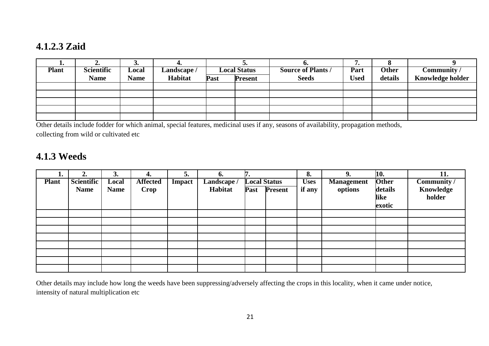### **4.1.2.3 Zaid**

| T.           | ∠.                | ◡           | т.         |      | ◡.                  | v.                        | . .         |              |                  |
|--------------|-------------------|-------------|------------|------|---------------------|---------------------------|-------------|--------------|------------------|
| <b>Plant</b> | <b>Scientific</b> | Local       | Landscape/ |      | <b>Local Status</b> | <b>Source of Plants /</b> | Part        | <b>Other</b> | Community /      |
|              | <b>Name</b>       | <b>Name</b> | Habitat    | Past | <b>Present</b>      | <b>Seeds</b>              | <b>Used</b> | details      | Knowledge holder |
|              |                   |             |            |      |                     |                           |             |              |                  |
|              |                   |             |            |      |                     |                           |             |              |                  |
|              |                   |             |            |      |                     |                           |             |              |                  |
|              |                   |             |            |      |                     |                           |             |              |                  |
|              |                   |             |            |      |                     |                           |             |              |                  |

Other details include fodder for which animal, special features, medicinal uses if any, seasons of availability, propagation methods, collecting from wild or cultivated etc

#### **4.1.3 Weeds**

| ı.           | 2.          | 3.          | 4.              | 5.     | 6.          |                     |                     | 8.          | 9.                | 10.          | 11.         |
|--------------|-------------|-------------|-----------------|--------|-------------|---------------------|---------------------|-------------|-------------------|--------------|-------------|
| <b>Plant</b> | Scientific  | Local       | <b>Affected</b> | Impact | Landscape / | <b>Local Status</b> |                     | <b>Uses</b> | <b>Management</b> | <b>Other</b> | Community / |
|              | <b>Name</b> | <b>Name</b> | Crop            |        | Habitat     |                     | <b>Past Present</b> | if any      | options           | details      | Knowledge   |
|              |             |             |                 |        |             |                     |                     |             |                   | like         | holder      |
|              |             |             |                 |        |             |                     |                     |             |                   | exotic       |             |
|              |             |             |                 |        |             |                     |                     |             |                   |              |             |
|              |             |             |                 |        |             |                     |                     |             |                   |              |             |
|              |             |             |                 |        |             |                     |                     |             |                   |              |             |
|              |             |             |                 |        |             |                     |                     |             |                   |              |             |
|              |             |             |                 |        |             |                     |                     |             |                   |              |             |
|              |             |             |                 |        |             |                     |                     |             |                   |              |             |
|              |             |             |                 |        |             |                     |                     |             |                   |              |             |
|              |             |             |                 |        |             |                     |                     |             |                   |              |             |

Other details may include how long the weeds have been suppressing/adversely affecting the crops in this locality, when it came under notice, intensity of natural multiplication etc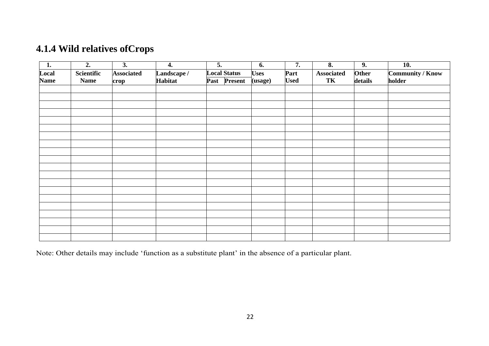# **4.1.4 Wild relatives ofCrops**

| $\overline{\phantom{a}}$ 1. | $\overline{2}$ . | $\overline{3}$ .  | 4.          | $\overline{5}$ .    | 6.          | $\overline{7}$ . | $\overline{\mathbf{8}}$ . | 9.      | $\overline{10}$ . |
|-----------------------------|------------------|-------------------|-------------|---------------------|-------------|------------------|---------------------------|---------|-------------------|
| Local                       | Scientific       | <b>Associated</b> | Landscape / | <b>Local Status</b> | <b>Uses</b> | Part             | <b>Associated</b>         | Other   | Community / Know  |
| <b>Name</b>                 | <b>Name</b>      | crop              | Habitat     | Past Present        | (usage)     | <b>Used</b>      | TK                        | details | holder            |
|                             |                  |                   |             |                     |             |                  |                           |         |                   |
|                             |                  |                   |             |                     |             |                  |                           |         |                   |
|                             |                  |                   |             |                     |             |                  |                           |         |                   |
|                             |                  |                   |             |                     |             |                  |                           |         |                   |
|                             |                  |                   |             |                     |             |                  |                           |         |                   |
|                             |                  |                   |             |                     |             |                  |                           |         |                   |
|                             |                  |                   |             |                     |             |                  |                           |         |                   |
|                             |                  |                   |             |                     |             |                  |                           |         |                   |
|                             |                  |                   |             |                     |             |                  |                           |         |                   |
|                             |                  |                   |             |                     |             |                  |                           |         |                   |
|                             |                  |                   |             |                     |             |                  |                           |         |                   |
|                             |                  |                   |             |                     |             |                  |                           |         |                   |
|                             |                  |                   |             |                     |             |                  |                           |         |                   |
|                             |                  |                   |             |                     |             |                  |                           |         |                   |
|                             |                  |                   |             |                     |             |                  |                           |         |                   |
|                             |                  |                   |             |                     |             |                  |                           |         |                   |
|                             |                  |                   |             |                     |             |                  |                           |         |                   |
|                             |                  |                   |             |                     |             |                  |                           |         |                   |
|                             |                  |                   |             |                     |             |                  |                           |         |                   |
|                             |                  |                   |             |                     |             |                  |                           |         |                   |

Note: Other details may include 'function as a substitute plant' in the absence of a particular plant.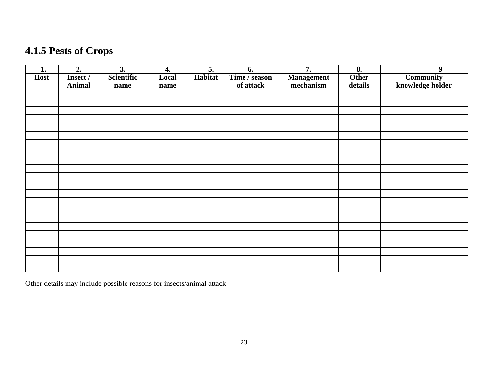# **4.1.5 Pests of Crops**

| 1.          | 2.            | 3.         | 4.    | 5.      | 6.            | 7.                | 8.           | $\boldsymbol{9}$ |
|-------------|---------------|------------|-------|---------|---------------|-------------------|--------------|------------------|
| <b>Host</b> | Insect /      | Scientific | Local | Habitat | Time / season | <b>Management</b> | <b>Other</b> | <b>Community</b> |
|             | <b>Animal</b> | name       | name  |         | of attack     | mechanism         | details      | knowledge holder |
|             |               |            |       |         |               |                   |              |                  |
|             |               |            |       |         |               |                   |              |                  |
|             |               |            |       |         |               |                   |              |                  |
|             |               |            |       |         |               |                   |              |                  |
|             |               |            |       |         |               |                   |              |                  |
|             |               |            |       |         |               |                   |              |                  |
|             |               |            |       |         |               |                   |              |                  |
|             |               |            |       |         |               |                   |              |                  |
|             |               |            |       |         |               |                   |              |                  |
|             |               |            |       |         |               |                   |              |                  |
|             |               |            |       |         |               |                   |              |                  |
|             |               |            |       |         |               |                   |              |                  |
|             |               |            |       |         |               |                   |              |                  |
|             |               |            |       |         |               |                   |              |                  |
|             |               |            |       |         |               |                   |              |                  |
|             |               |            |       |         |               |                   |              |                  |
|             |               |            |       |         |               |                   |              |                  |
|             |               |            |       |         |               |                   |              |                  |
|             |               |            |       |         |               |                   |              |                  |
|             |               |            |       |         |               |                   |              |                  |
|             |               |            |       |         |               |                   |              |                  |
|             |               |            |       |         |               |                   |              |                  |

Other details may include possible reasons for insects/animal attack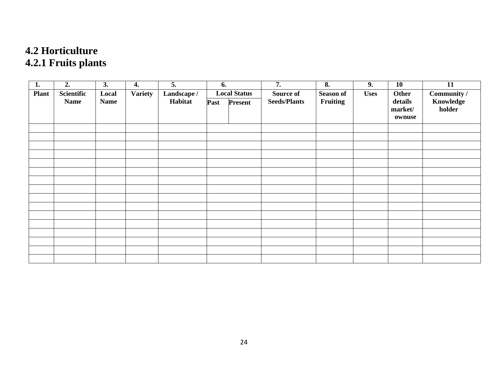# **4.2 Horticulture 4.2.1 Fruits plants**

| 1.           | 2.                        | $\overline{3.}$      | 4.             | $\overline{5}$ .       | 6.   |                                       | $\overline{7}$ .                 | $\overline{\mathbf{8}}$ .    | $\overline{9}$ . | $\overline{10}$                       | $\overline{11}$                    |
|--------------|---------------------------|----------------------|----------------|------------------------|------|---------------------------------------|----------------------------------|------------------------------|------------------|---------------------------------------|------------------------------------|
| <b>Plant</b> | Scientific<br><b>Name</b> | Local<br><b>Name</b> | <b>Variety</b> | Landscape /<br>Habitat | Past | <b>Local Status</b><br><b>Present</b> | Source of<br><b>Seeds/Plants</b> | <b>Season of</b><br>Fruiting | <b>Uses</b>      | Other<br>details<br>market/<br>ownuse | Community /<br>Knowledge<br>holder |
|              |                           |                      |                |                        |      |                                       |                                  |                              |                  |                                       |                                    |
|              |                           |                      |                |                        |      |                                       |                                  |                              |                  |                                       |                                    |
|              |                           |                      |                |                        |      |                                       |                                  |                              |                  |                                       |                                    |
|              |                           |                      |                |                        |      |                                       |                                  |                              |                  |                                       |                                    |
|              |                           |                      |                |                        |      |                                       |                                  |                              |                  |                                       |                                    |
|              |                           |                      |                |                        |      |                                       |                                  |                              |                  |                                       |                                    |
|              |                           |                      |                |                        |      |                                       |                                  |                              |                  |                                       |                                    |
|              |                           |                      |                |                        |      |                                       |                                  |                              |                  |                                       |                                    |
|              |                           |                      |                |                        |      |                                       |                                  |                              |                  |                                       |                                    |
|              |                           |                      |                |                        |      |                                       |                                  |                              |                  |                                       |                                    |
|              |                           |                      |                |                        |      |                                       |                                  |                              |                  |                                       |                                    |
|              |                           |                      |                |                        |      |                                       |                                  |                              |                  |                                       |                                    |
|              |                           |                      |                |                        |      |                                       |                                  |                              |                  |                                       |                                    |
|              |                           |                      |                |                        |      |                                       |                                  |                              |                  |                                       |                                    |
|              |                           |                      |                |                        |      |                                       |                                  |                              |                  |                                       |                                    |
|              |                           |                      |                |                        |      |                                       |                                  |                              |                  |                                       |                                    |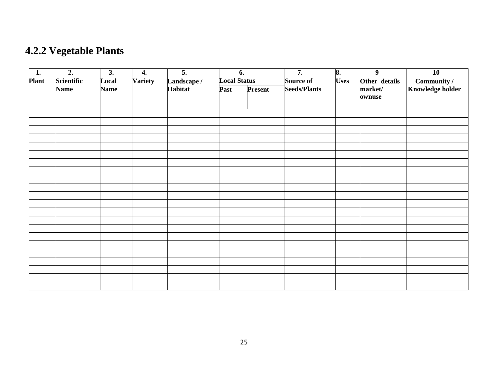# **4.2.2 Vegetable Plants**

| $\overline{1}$ . | $\overline{2}$ .  | $\overline{3}$ . | $\overline{4}$ . | $\overline{5}$ . | $\overline{6}$ .    |         | $\overline{7}$ .    | 8.          | $\overline{9}$ | $\overline{10}$         |
|------------------|-------------------|------------------|------------------|------------------|---------------------|---------|---------------------|-------------|----------------|-------------------------|
| Plant            | <b>Scientific</b> | Local            | <b>Variety</b>   | Landscape /      | <b>Local Status</b> |         | Source of           | <b>Uses</b> | Other details  | Community /             |
|                  | <b>Name</b>       | <b>Name</b>      |                  | Habitat          | Past                | Present | <b>Seeds/Plants</b> |             | market/        | <b>Knowledge holder</b> |
|                  |                   |                  |                  |                  |                     |         |                     |             | ownuse         |                         |
|                  |                   |                  |                  |                  |                     |         |                     |             |                |                         |
|                  |                   |                  |                  |                  |                     |         |                     |             |                |                         |
|                  |                   |                  |                  |                  |                     |         |                     |             |                |                         |
|                  |                   |                  |                  |                  |                     |         |                     |             |                |                         |
|                  |                   |                  |                  |                  |                     |         |                     |             |                |                         |
|                  |                   |                  |                  |                  |                     |         |                     |             |                |                         |
|                  |                   |                  |                  |                  |                     |         |                     |             |                |                         |
|                  |                   |                  |                  |                  |                     |         |                     |             |                |                         |
|                  |                   |                  |                  |                  |                     |         |                     |             |                |                         |
|                  |                   |                  |                  |                  |                     |         |                     |             |                |                         |
|                  |                   |                  |                  |                  |                     |         |                     |             |                |                         |
|                  |                   |                  |                  |                  |                     |         |                     |             |                |                         |
|                  |                   |                  |                  |                  |                     |         |                     |             |                |                         |
|                  |                   |                  |                  |                  |                     |         |                     |             |                |                         |
|                  |                   |                  |                  |                  |                     |         |                     |             |                |                         |
|                  |                   |                  |                  |                  |                     |         |                     |             |                |                         |
|                  |                   |                  |                  |                  |                     |         |                     |             |                |                         |
|                  |                   |                  |                  |                  |                     |         |                     |             |                |                         |
|                  |                   |                  |                  |                  |                     |         |                     |             |                |                         |
|                  |                   |                  |                  |                  |                     |         |                     |             |                |                         |
|                  |                   |                  |                  |                  |                     |         |                     |             |                |                         |
|                  |                   |                  |                  |                  |                     |         |                     |             |                |                         |
|                  |                   |                  |                  |                  |                     |         |                     |             |                |                         |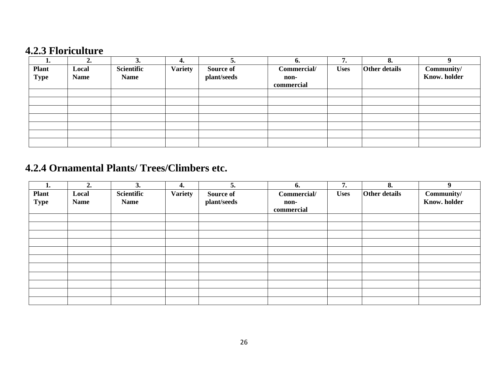### **4.2.3 Floriculture**

| ı.           | ∠.          | 3.          | 4.             | ວ.          | O.          | 7.          | 8.                   | $\mathbf{o}$        |
|--------------|-------------|-------------|----------------|-------------|-------------|-------------|----------------------|---------------------|
| <b>Plant</b> | Local       | Scientific  | <b>Variety</b> | Source of   | Commercial/ | <b>Uses</b> | <b>Other details</b> | Community/          |
| <b>Type</b>  | <b>Name</b> | <b>Name</b> |                | plant/seeds | non-        |             |                      | <b>Know.</b> holder |
|              |             |             |                |             | commercial  |             |                      |                     |
|              |             |             |                |             |             |             |                      |                     |
|              |             |             |                |             |             |             |                      |                     |
|              |             |             |                |             |             |             |                      |                     |
|              |             |             |                |             |             |             |                      |                     |
|              |             |             |                |             |             |             |                      |                     |
|              |             |             |                |             |             |             |                      |                     |
|              |             |             |                |             |             |             |                      |                     |

# **4.2.4 Ornamental Plants/ Trees/Climbers etc.**

| ı.                          | 2.                   | 3.                        | 4.             | 5.                              | 6.                                | 7.          | 8.                   | $\boldsymbol{Q}$                  |
|-----------------------------|----------------------|---------------------------|----------------|---------------------------------|-----------------------------------|-------------|----------------------|-----------------------------------|
| <b>Plant</b><br><b>Type</b> | Local<br><b>Name</b> | Scientific<br><b>Name</b> | <b>Variety</b> | <b>Source of</b><br>plant/seeds | Commercial/<br>non-<br>commercial | <b>Uses</b> | <b>Other details</b> | Community/<br><b>Know.</b> holder |
|                             |                      |                           |                |                                 |                                   |             |                      |                                   |
|                             |                      |                           |                |                                 |                                   |             |                      |                                   |
|                             |                      |                           |                |                                 |                                   |             |                      |                                   |
|                             |                      |                           |                |                                 |                                   |             |                      |                                   |
|                             |                      |                           |                |                                 |                                   |             |                      |                                   |
|                             |                      |                           |                |                                 |                                   |             |                      |                                   |
|                             |                      |                           |                |                                 |                                   |             |                      |                                   |
|                             |                      |                           |                |                                 |                                   |             |                      |                                   |
|                             |                      |                           |                |                                 |                                   |             |                      |                                   |
|                             |                      |                           |                |                                 |                                   |             |                      |                                   |
|                             |                      |                           |                |                                 |                                   |             |                      |                                   |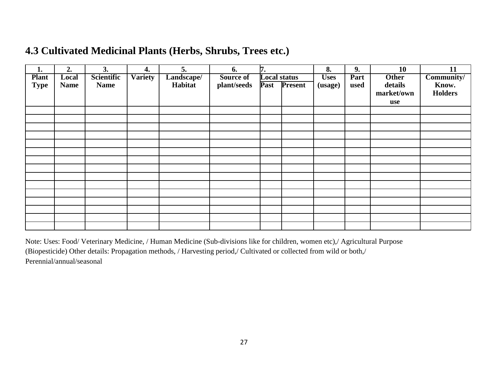### **4.3 Cultivated Medicinal Plants (Herbs, Shrubs, Trees etc.)**

| 1.           | 2.          | 3.          | 4.             | 5.         | 6.          | 7.                  |                | 8.          | 9.   | 10           | 11             |
|--------------|-------------|-------------|----------------|------------|-------------|---------------------|----------------|-------------|------|--------------|----------------|
| <b>Plant</b> | Local       | Scientific  | <b>Variety</b> | Landscape/ | Source of   | <b>Local status</b> |                | <b>Uses</b> | Part | <b>Other</b> | Community/     |
| <b>Type</b>  | <b>Name</b> | <b>Name</b> |                | Habitat    | plant/seeds | Past                | <b>Present</b> | (usage)     | used | details      | Know.          |
|              |             |             |                |            |             |                     |                |             |      | market/own   | <b>Holders</b> |
|              |             |             |                |            |             |                     |                |             |      | use          |                |
|              |             |             |                |            |             |                     |                |             |      |              |                |
|              |             |             |                |            |             |                     |                |             |      |              |                |
|              |             |             |                |            |             |                     |                |             |      |              |                |
|              |             |             |                |            |             |                     |                |             |      |              |                |
|              |             |             |                |            |             |                     |                |             |      |              |                |
|              |             |             |                |            |             |                     |                |             |      |              |                |
|              |             |             |                |            |             |                     |                |             |      |              |                |
|              |             |             |                |            |             |                     |                |             |      |              |                |
|              |             |             |                |            |             |                     |                |             |      |              |                |
|              |             |             |                |            |             |                     |                |             |      |              |                |
|              |             |             |                |            |             |                     |                |             |      |              |                |
|              |             |             |                |            |             |                     |                |             |      |              |                |
|              |             |             |                |            |             |                     |                |             |      |              |                |
|              |             |             |                |            |             |                     |                |             |      |              |                |
|              |             |             |                |            |             |                     |                |             |      |              |                |

Note: Uses: Food/ Veterinary Medicine, / Human Medicine (Sub-divisions like for children, women etc),/ Agricultural Purpose (Biopesticide) Other details: Propagation methods, / Harvesting period,/ Cultivated or collected from wild or both,/ Perennial/annual/seasonal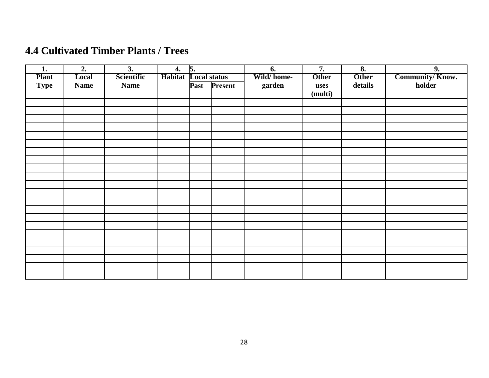# **4.4 Cultivated Timber Plants / Trees**

| 1.                          | 2.                   | 3.                               | 4.                          | $\overline{5}$ . |              | 6.                   | 7.                   | 8.                      | 9.                        |
|-----------------------------|----------------------|----------------------------------|-----------------------------|------------------|--------------|----------------------|----------------------|-------------------------|---------------------------|
| <b>Plant</b><br><b>Type</b> | Local<br><b>Name</b> | <b>Scientific</b><br><b>Name</b> | <b>Habitat</b> Local status |                  | Past Present | Wild/home-<br>garden | <b>Other</b><br>uses | <b>Other</b><br>details | Community/Know.<br>holder |
|                             |                      |                                  |                             |                  |              |                      | (multi)              |                         |                           |
|                             |                      |                                  |                             |                  |              |                      |                      |                         |                           |
|                             |                      |                                  |                             |                  |              |                      |                      |                         |                           |
|                             |                      |                                  |                             |                  |              |                      |                      |                         |                           |
|                             |                      |                                  |                             |                  |              |                      |                      |                         |                           |
|                             |                      |                                  |                             |                  |              |                      |                      |                         |                           |
|                             |                      |                                  |                             |                  |              |                      |                      |                         |                           |
|                             |                      |                                  |                             |                  |              |                      |                      |                         |                           |
|                             |                      |                                  |                             |                  |              |                      |                      |                         |                           |
|                             |                      |                                  |                             |                  |              |                      |                      |                         |                           |
|                             |                      |                                  |                             |                  |              |                      |                      |                         |                           |
|                             |                      |                                  |                             |                  |              |                      |                      |                         |                           |
|                             |                      |                                  |                             |                  |              |                      |                      |                         |                           |
|                             |                      |                                  |                             |                  |              |                      |                      |                         |                           |
|                             |                      |                                  |                             |                  |              |                      |                      |                         |                           |
|                             |                      |                                  |                             |                  |              |                      |                      |                         |                           |
|                             |                      |                                  |                             |                  |              |                      |                      |                         |                           |
|                             |                      |                                  |                             |                  |              |                      |                      |                         |                           |
|                             |                      |                                  |                             |                  |              |                      |                      |                         |                           |
|                             |                      |                                  |                             |                  |              |                      |                      |                         |                           |
|                             |                      |                                  |                             |                  |              |                      |                      |                         |                           |
|                             |                      |                                  |                             |                  |              |                      |                      |                         |                           |
|                             |                      |                                  |                             |                  |              |                      |                      |                         |                           |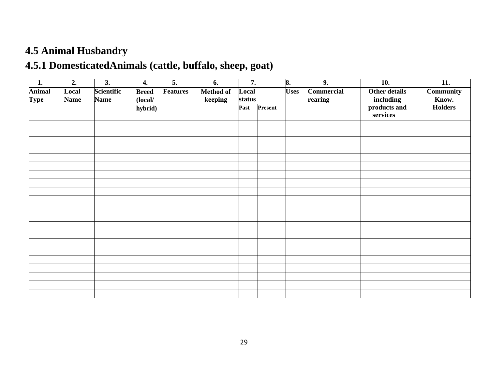# **4.5 Animal Husbandry**

# **4.5.1 DomesticatedAnimals (cattle, buffalo, sheep, goat)**

| 1.                           | $\overline{2}$ .     | $\overline{3}$ .          | 4.                      | $\overline{5}$ . | 6.                   | 7.              |         | 8.          | $\overline{9}$ .             | $\overline{10}$ .                 | $\overline{11}$ .         |
|------------------------------|----------------------|---------------------------|-------------------------|------------------|----------------------|-----------------|---------|-------------|------------------------------|-----------------------------------|---------------------------|
| <b>Animal</b><br><b>Type</b> | Local<br><b>Name</b> | Scientific<br><b>Name</b> | <b>Breed</b><br>(local/ | <b>Features</b>  | Method of<br>keeping | Local<br>status |         | <b>Uses</b> | <b>Commercial</b><br>rearing | <b>Other details</b><br>including | <b>Community</b><br>Know. |
|                              |                      |                           | hybrid)                 |                  |                      | Past            | Present |             |                              | products and<br>services          | <b>Holders</b>            |
|                              |                      |                           |                         |                  |                      |                 |         |             |                              |                                   |                           |
|                              |                      |                           |                         |                  |                      |                 |         |             |                              |                                   |                           |
|                              |                      |                           |                         |                  |                      |                 |         |             |                              |                                   |                           |
|                              |                      |                           |                         |                  |                      |                 |         |             |                              |                                   |                           |
|                              |                      |                           |                         |                  |                      |                 |         |             |                              |                                   |                           |
|                              |                      |                           |                         |                  |                      |                 |         |             |                              |                                   |                           |
|                              |                      |                           |                         |                  |                      |                 |         |             |                              |                                   |                           |
|                              |                      |                           |                         |                  |                      |                 |         |             |                              |                                   |                           |
|                              |                      |                           |                         |                  |                      |                 |         |             |                              |                                   |                           |
|                              |                      |                           |                         |                  |                      |                 |         |             |                              |                                   |                           |
|                              |                      |                           |                         |                  |                      |                 |         |             |                              |                                   |                           |
|                              |                      |                           |                         |                  |                      |                 |         |             |                              |                                   |                           |
|                              |                      |                           |                         |                  |                      |                 |         |             |                              |                                   |                           |
|                              |                      |                           |                         |                  |                      |                 |         |             |                              |                                   |                           |
|                              |                      |                           |                         |                  |                      |                 |         |             |                              |                                   |                           |
|                              |                      |                           |                         |                  |                      |                 |         |             |                              |                                   |                           |
|                              |                      |                           |                         |                  |                      |                 |         |             |                              |                                   |                           |
|                              |                      |                           |                         |                  |                      |                 |         |             |                              |                                   |                           |
|                              |                      |                           |                         |                  |                      |                 |         |             |                              |                                   |                           |
|                              |                      |                           |                         |                  |                      |                 |         |             |                              |                                   |                           |
|                              |                      |                           |                         |                  |                      |                 |         |             |                              |                                   |                           |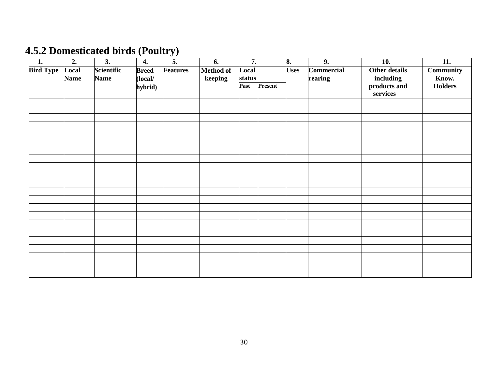# **4.5.2 Domesticated birds (Poultry)**

| $\overline{1}$ . | $\overline{2}$ .     | $\overline{3}$ .                 | $\overline{4}$ .        | $\overline{5}$ . | $\overline{6}$ .            | $\overline{7}$ . |                 | 8. | $\overline{9}$ . | $\overline{10}$ .        | $\overline{11}$ . |  |                              |                                   |                    |
|------------------|----------------------|----------------------------------|-------------------------|------------------|-----------------------------|------------------|-----------------|----|------------------|--------------------------|-------------------|--|------------------------------|-----------------------------------|--------------------|
| <b>Bird Type</b> | Local<br><b>Name</b> | <b>Scientific</b><br><b>Name</b> | <b>Breed</b><br>(local/ | Features         | <b>Method of</b><br>keeping |                  | Local<br>status |    |                  |                          |                   |  | <b>Commercial</b><br>rearing | <b>Other details</b><br>including | Community<br>Know. |
|                  |                      |                                  | hybrid)                 |                  |                             | Past             | Present         |    |                  | products and<br>services | <b>Holders</b>    |  |                              |                                   |                    |
|                  |                      |                                  |                         |                  |                             |                  |                 |    |                  |                          |                   |  |                              |                                   |                    |
|                  |                      |                                  |                         |                  |                             |                  |                 |    |                  |                          |                   |  |                              |                                   |                    |
|                  |                      |                                  |                         |                  |                             |                  |                 |    |                  |                          |                   |  |                              |                                   |                    |
|                  |                      |                                  |                         |                  |                             |                  |                 |    |                  |                          |                   |  |                              |                                   |                    |
|                  |                      |                                  |                         |                  |                             |                  |                 |    |                  |                          |                   |  |                              |                                   |                    |
|                  |                      |                                  |                         |                  |                             |                  |                 |    |                  |                          |                   |  |                              |                                   |                    |
|                  |                      |                                  |                         |                  |                             |                  |                 |    |                  |                          |                   |  |                              |                                   |                    |
|                  |                      |                                  |                         |                  |                             |                  |                 |    |                  |                          |                   |  |                              |                                   |                    |
|                  |                      |                                  |                         |                  |                             |                  |                 |    |                  |                          |                   |  |                              |                                   |                    |
|                  |                      |                                  |                         |                  |                             |                  |                 |    |                  |                          |                   |  |                              |                                   |                    |
|                  |                      |                                  |                         |                  |                             |                  |                 |    |                  |                          |                   |  |                              |                                   |                    |
|                  |                      |                                  |                         |                  |                             |                  |                 |    |                  |                          |                   |  |                              |                                   |                    |
|                  |                      |                                  |                         |                  |                             |                  |                 |    |                  |                          |                   |  |                              |                                   |                    |
|                  |                      |                                  |                         |                  |                             |                  |                 |    |                  |                          |                   |  |                              |                                   |                    |
|                  |                      |                                  |                         |                  |                             |                  |                 |    |                  |                          |                   |  |                              |                                   |                    |
|                  |                      |                                  |                         |                  |                             |                  |                 |    |                  |                          |                   |  |                              |                                   |                    |
|                  |                      |                                  |                         |                  |                             |                  |                 |    |                  |                          |                   |  |                              |                                   |                    |
|                  |                      |                                  |                         |                  |                             |                  |                 |    |                  |                          |                   |  |                              |                                   |                    |
|                  |                      |                                  |                         |                  |                             |                  |                 |    |                  |                          |                   |  |                              |                                   |                    |
|                  |                      |                                  |                         |                  |                             |                  |                 |    |                  |                          |                   |  |                              |                                   |                    |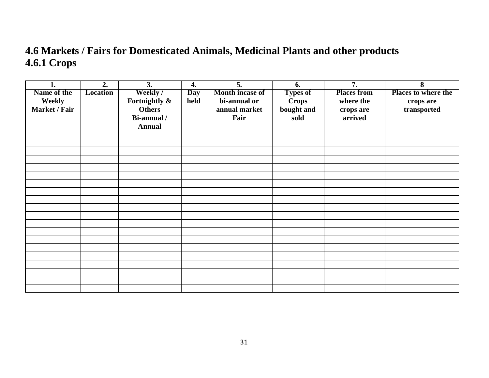# **4.6 Markets / Fairs for Domesticated Animals, Medicinal Plants and other products 4.6.1 Crops**

| 1.            | $\overline{2}$ . | $\overline{3}$ . | 4.         | $\overline{5}$ . | 6.              | $\overline{7}$ .   | 8                                   |
|---------------|------------------|------------------|------------|------------------|-----------------|--------------------|-------------------------------------|
| Name of the   | <b>Location</b>  | Weekly/          | <b>Day</b> | Month incase of  | <b>Types of</b> | <b>Places from</b> | <b>Places to where the</b>          |
| Weekly        |                  | Fortnightly &    | held       | bi-annual or     | <b>Crops</b>    | where the          | crops are                           |
| Market / Fair |                  | <b>Others</b>    |            | annual market    | bought and      | crops are          | $\ensuremath{\mathsf{transported}}$ |
|               |                  | Bi-annual /      |            | Fair             | sold            | arrived            |                                     |
|               |                  | <b>Annual</b>    |            |                  |                 |                    |                                     |
|               |                  |                  |            |                  |                 |                    |                                     |
|               |                  |                  |            |                  |                 |                    |                                     |
|               |                  |                  |            |                  |                 |                    |                                     |
|               |                  |                  |            |                  |                 |                    |                                     |
|               |                  |                  |            |                  |                 |                    |                                     |
|               |                  |                  |            |                  |                 |                    |                                     |
|               |                  |                  |            |                  |                 |                    |                                     |
|               |                  |                  |            |                  |                 |                    |                                     |
|               |                  |                  |            |                  |                 |                    |                                     |
|               |                  |                  |            |                  |                 |                    |                                     |
|               |                  |                  |            |                  |                 |                    |                                     |
|               |                  |                  |            |                  |                 |                    |                                     |
|               |                  |                  |            |                  |                 |                    |                                     |
|               |                  |                  |            |                  |                 |                    |                                     |
|               |                  |                  |            |                  |                 |                    |                                     |
|               |                  |                  |            |                  |                 |                    |                                     |
|               |                  |                  |            |                  |                 |                    |                                     |
|               |                  |                  |            |                  |                 |                    |                                     |
|               |                  |                  |            |                  |                 |                    |                                     |
|               |                  |                  |            |                  |                 |                    |                                     |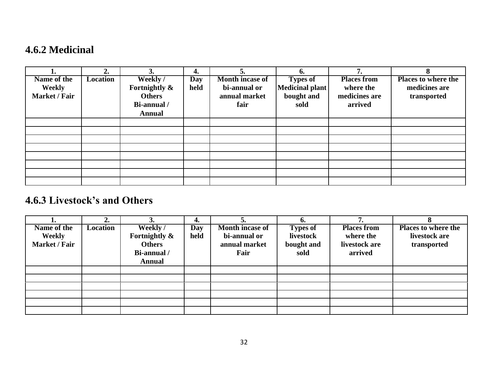## **4.6.2 Medicinal**

|               | 2.              |               | 4.         |                        | 6.              | 7                  | 8                          |
|---------------|-----------------|---------------|------------|------------------------|-----------------|--------------------|----------------------------|
| Name of the   | <b>Location</b> | Weekly/       | <b>Day</b> | <b>Month incase of</b> | <b>Types of</b> | <b>Places from</b> | <b>Places to where the</b> |
| <b>Weekly</b> |                 | Fortnightly & | held       | bi-annual or           | Medicinal plant | where the          | medicines are              |
| Market / Fair |                 | <b>Others</b> |            | annual market          | bought and      | medicines are      | transported                |
|               |                 | Bi-annual /   |            | fair                   | sold            | arrived            |                            |
|               |                 | <b>Annual</b> |            |                        |                 |                    |                            |
|               |                 |               |            |                        |                 |                    |                            |
|               |                 |               |            |                        |                 |                    |                            |
|               |                 |               |            |                        |                 |                    |                            |
|               |                 |               |            |                        |                 |                    |                            |
|               |                 |               |            |                        |                 |                    |                            |
|               |                 |               |            |                        |                 |                    |                            |
|               |                 |               |            |                        |                 |                    |                            |
|               |                 |               |            |                        |                 |                    |                            |

# **4.6.3 Livestock's and Others**

|                      |                 |               | 4.   |                        |                 |                    |                            |
|----------------------|-----------------|---------------|------|------------------------|-----------------|--------------------|----------------------------|
| Name of the          | <b>Location</b> | Weekly/       | Day  | <b>Month incase of</b> | <b>Types of</b> | <b>Places from</b> | <b>Places to where the</b> |
| Weekly               |                 | Fortnightly & | held | bi-annual or           | livestock       | where the          | livestock are              |
| <b>Market / Fair</b> |                 | <b>Others</b> |      | annual market          | bought and      | livestock are      | transported                |
|                      |                 | Bi-annual /   |      | Fair                   | sold            | arrived            |                            |
|                      |                 | <b>Annual</b> |      |                        |                 |                    |                            |
|                      |                 |               |      |                        |                 |                    |                            |
|                      |                 |               |      |                        |                 |                    |                            |
|                      |                 |               |      |                        |                 |                    |                            |
|                      |                 |               |      |                        |                 |                    |                            |
|                      |                 |               |      |                        |                 |                    |                            |
|                      |                 |               |      |                        |                 |                    |                            |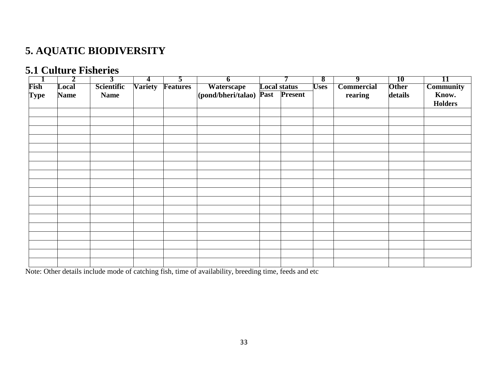# **5. AQUATIC BIODIVERSITY**

### **5.1 Culture Fisheries**

|             | 2           | 3           | 4              | $\overline{\mathbf{z}}$ | 0                       |                     | 8           | 9                 | <b>10</b>    | 11               |
|-------------|-------------|-------------|----------------|-------------------------|-------------------------|---------------------|-------------|-------------------|--------------|------------------|
| Fish        | Local       | Scientific  | <b>Variety</b> | <b>Features</b>         | Waterscape              | <b>Local status</b> | <b>Uses</b> | <b>Commercial</b> | <b>Other</b> | <b>Community</b> |
| <b>Type</b> | <b>Name</b> | <b>Name</b> |                |                         | (pond/bheri/talao) Past | <b>Present</b>      |             | rearing           | details      | Know.            |
|             |             |             |                |                         |                         |                     |             |                   |              | <b>Holders</b>   |
|             |             |             |                |                         |                         |                     |             |                   |              |                  |
|             |             |             |                |                         |                         |                     |             |                   |              |                  |
|             |             |             |                |                         |                         |                     |             |                   |              |                  |
|             |             |             |                |                         |                         |                     |             |                   |              |                  |
|             |             |             |                |                         |                         |                     |             |                   |              |                  |
|             |             |             |                |                         |                         |                     |             |                   |              |                  |
|             |             |             |                |                         |                         |                     |             |                   |              |                  |
|             |             |             |                |                         |                         |                     |             |                   |              |                  |
|             |             |             |                |                         |                         |                     |             |                   |              |                  |
|             |             |             |                |                         |                         |                     |             |                   |              |                  |
|             |             |             |                |                         |                         |                     |             |                   |              |                  |
|             |             |             |                |                         |                         |                     |             |                   |              |                  |
|             |             |             |                |                         |                         |                     |             |                   |              |                  |
|             |             |             |                |                         |                         |                     |             |                   |              |                  |
|             |             |             |                |                         |                         |                     |             |                   |              |                  |
|             |             |             |                |                         |                         |                     |             |                   |              |                  |
|             |             |             |                |                         |                         |                     |             |                   |              |                  |
|             |             |             |                |                         |                         |                     |             |                   |              |                  |
|             |             |             |                |                         |                         |                     |             |                   |              |                  |
|             |             |             |                |                         |                         |                     |             |                   |              |                  |

Note: Other details include mode of catching fish, time of availability, breeding time, feeds and etc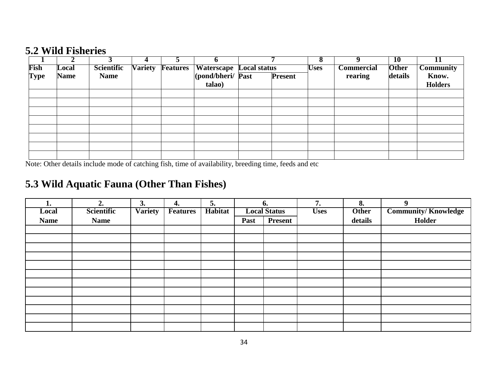### **5.2 Wild Fisheries**

|             |             |             |                |                 |                                |                | O           |                   | <b>10</b>    |                  |
|-------------|-------------|-------------|----------------|-----------------|--------------------------------|----------------|-------------|-------------------|--------------|------------------|
| Fish        | Local       | Scientific  | <b>Variety</b> | <b>Features</b> | <b>Waterscape Local status</b> |                | <b>Uses</b> | <b>Commercial</b> | <b>Other</b> | <b>Community</b> |
| <b>Type</b> | <b>Name</b> | <b>Name</b> |                |                 | (pond/bheri/ Past              | <b>Present</b> |             | rearing           | details      | Know.            |
|             |             |             |                |                 | talao)                         |                |             |                   |              | <b>Holders</b>   |
|             |             |             |                |                 |                                |                |             |                   |              |                  |
|             |             |             |                |                 |                                |                |             |                   |              |                  |
|             |             |             |                |                 |                                |                |             |                   |              |                  |
|             |             |             |                |                 |                                |                |             |                   |              |                  |
|             |             |             |                |                 |                                |                |             |                   |              |                  |
|             |             |             |                |                 |                                |                |             |                   |              |                  |
|             |             |             |                |                 |                                |                |             |                   |              |                  |
|             |             |             |                |                 |                                |                |             |                   |              |                  |

Note: Other details include mode of catching fish, time of availability, breeding time, feeds and etc

# **5.3 Wild Aquatic Fauna (Other Than Fishes)**

| ı.          | 2.          | 3.             | 4.              | 5.      |      | 6.                  | 7.          | 8.           | $\boldsymbol{9}$           |
|-------------|-------------|----------------|-----------------|---------|------|---------------------|-------------|--------------|----------------------------|
| Local       | Scientific  | <b>Variety</b> | <b>Features</b> | Habitat |      | <b>Local Status</b> | <b>Uses</b> | <b>Other</b> | <b>Community/Knowledge</b> |
| <b>Name</b> | <b>Name</b> |                |                 |         | Past | <b>Present</b>      |             | details      | Holder                     |
|             |             |                |                 |         |      |                     |             |              |                            |
|             |             |                |                 |         |      |                     |             |              |                            |
|             |             |                |                 |         |      |                     |             |              |                            |
|             |             |                |                 |         |      |                     |             |              |                            |
|             |             |                |                 |         |      |                     |             |              |                            |
|             |             |                |                 |         |      |                     |             |              |                            |
|             |             |                |                 |         |      |                     |             |              |                            |
|             |             |                |                 |         |      |                     |             |              |                            |
|             |             |                |                 |         |      |                     |             |              |                            |
|             |             |                |                 |         |      |                     |             |              |                            |
|             |             |                |                 |         |      |                     |             |              |                            |
|             |             |                |                 |         |      |                     |             |              |                            |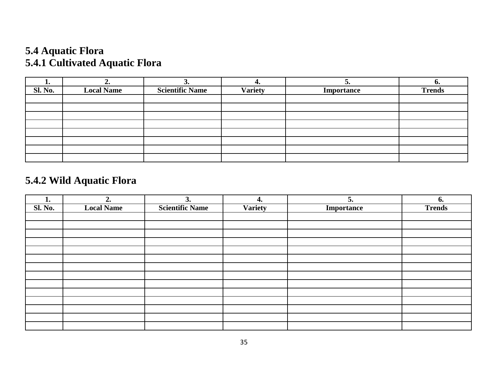# **5.4 Aquatic Flora 5.4.1 Cultivated Aquatic Flora**

| ı.             | ∸∙                | J.                     | ᠇.             | ◡.                | v.            |
|----------------|-------------------|------------------------|----------------|-------------------|---------------|
| <b>Sl. No.</b> | <b>Local Name</b> | <b>Scientific Name</b> | <b>Variety</b> | <b>Importance</b> | <b>Trends</b> |
|                |                   |                        |                |                   |               |
|                |                   |                        |                |                   |               |
|                |                   |                        |                |                   |               |
|                |                   |                        |                |                   |               |
|                |                   |                        |                |                   |               |
|                |                   |                        |                |                   |               |
|                |                   |                        |                |                   |               |
|                |                   |                        |                |                   |               |

# **5.4.2 Wild Aquatic Flora**

| $\mathbf{I}$ . | 2.                | 3.                     | 4.             | 5.                | 6.            |
|----------------|-------------------|------------------------|----------------|-------------------|---------------|
| <b>Sl. No.</b> | <b>Local Name</b> | <b>Scientific Name</b> | <b>Variety</b> | <b>Importance</b> | <b>Trends</b> |
|                |                   |                        |                |                   |               |
|                |                   |                        |                |                   |               |
|                |                   |                        |                |                   |               |
|                |                   |                        |                |                   |               |
|                |                   |                        |                |                   |               |
|                |                   |                        |                |                   |               |
|                |                   |                        |                |                   |               |
|                |                   |                        |                |                   |               |
|                |                   |                        |                |                   |               |
|                |                   |                        |                |                   |               |
|                |                   |                        |                |                   |               |
|                |                   |                        |                |                   |               |
|                |                   |                        |                |                   |               |
|                |                   |                        |                |                   |               |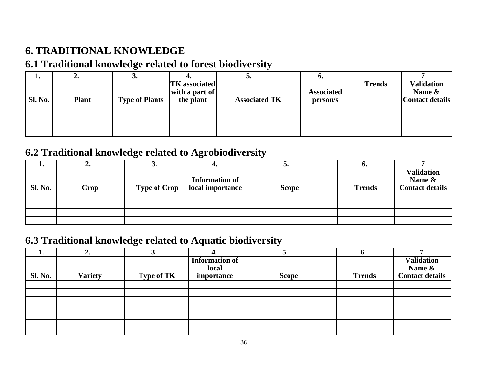# **6. TRADITIONAL KNOWLEDGE**

### **6.1 Traditional knowledge related to forest biodiversity**

| <b>1.</b> | ,,,,         | ັ                     |                      |                      | v.                |               |                        |
|-----------|--------------|-----------------------|----------------------|----------------------|-------------------|---------------|------------------------|
|           |              |                       | <b>TK</b> associated |                      |                   | <b>Trends</b> | <b>Validation</b>      |
|           |              |                       | with a part of       |                      | <b>Associated</b> |               | Name &                 |
| Sl. No.   | <b>Plant</b> | <b>Type of Plants</b> | the plant            | <b>Associated TK</b> | person/s          |               | <b>Contact details</b> |
|           |              |                       |                      |                      |                   |               |                        |
|           |              |                       |                      |                      |                   |               |                        |
|           |              |                       |                      |                      |                   |               |                        |
|           |              |                       |                      |                      |                   |               |                        |

### **6.2 Traditional knowledge related to Agrobiodiversity**

|                | ∸∙   | ◡                   |                                    | ◡•           | v.            |                                                       |
|----------------|------|---------------------|------------------------------------|--------------|---------------|-------------------------------------------------------|
| <b>Sl. No.</b> | Crop | <b>Type of Crop</b> | Information of<br>local importance | <b>Scope</b> | <b>Trends</b> | <b>Validation</b><br>Name &<br><b>Contact details</b> |
|                |      |                     |                                    |              |               |                                                       |
|                |      |                     |                                    |              |               |                                                       |
|                |      |                     |                                    |              |               |                                                       |

### **6.3 Traditional knowledge related to Aquatic biodiversity**

| L.             | "              | 3.                |                | ◡.           | v.            |                        |
|----------------|----------------|-------------------|----------------|--------------|---------------|------------------------|
|                |                |                   | Information of |              |               | <b>Validation</b>      |
|                |                |                   | local          |              |               | Name &                 |
| <b>Sl. No.</b> | <b>Variety</b> | <b>Type of TK</b> | importance     | <b>Scope</b> | <b>Trends</b> | <b>Contact details</b> |
|                |                |                   |                |              |               |                        |
|                |                |                   |                |              |               |                        |
|                |                |                   |                |              |               |                        |
|                |                |                   |                |              |               |                        |
|                |                |                   |                |              |               |                        |
|                |                |                   |                |              |               |                        |
|                |                |                   |                |              |               |                        |